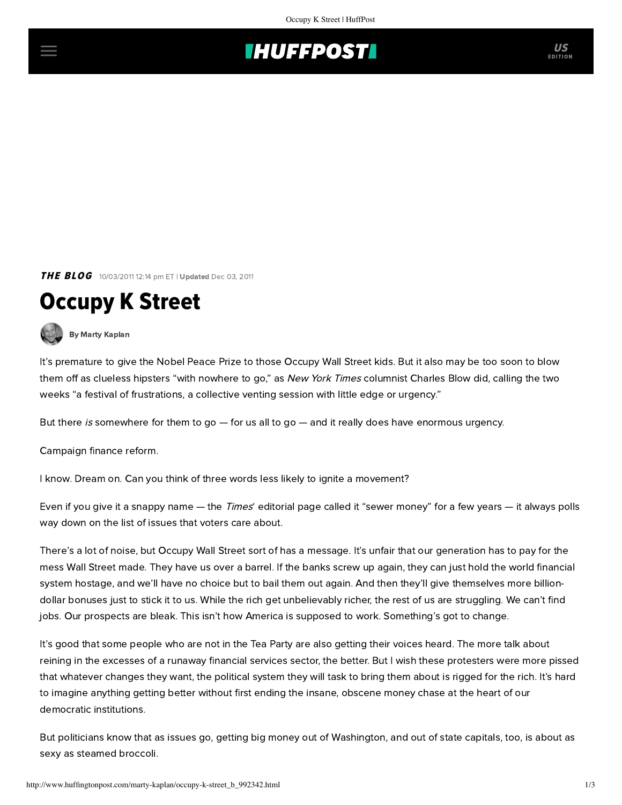

THE BLOG 10/03/2011 12:14 pm ET | Updated Dec 03, 2011

## Occupy K Street



[By Marty Kaplan](http://www.huffingtonpost.com/author/marty-kaplan)

It's premature to give the Nobel Peace Prize to those Occupy Wall Street kids. But it also may be too soon to blow them off as clueless hipsters "with nowhere to go," as New York Times columnist [Charles Blow](http://www.nytimes.com/2011/10/01/opinion/hippies-and-hipsters-exhale.html?_r=1&ref=charlesmblow) did, calling the two weeks "a festival of frustrations, a collective venting session with little edge or urgency."

But there is somewhere for them to go  $-$  for us all to go  $-$  and it really does have enormous urgency.

Campaign finance reform.

I know. Dream on. Can you think of three words less likely to ignite a movement?

Even if you give it a snappy name — the Times' editorial page called it "sewer money" for a few years — it always polls way down on the list of issues that voters care about.

There's a lot of noise, but Occupy Wall Street sort of has a message. It's unfair that our generation has to pay for the mess Wall Street made. They have us over a barrel. If the banks screw up again, they can just hold the world financial system hostage, and we'll have no choice but to bail them out again. And then they'll give themselves more billiondollar bonuses just to stick it to us. While the rich get unbelievably richer, the rest of us are struggling. We can't find jobs. Our prospects are bleak. This isn't how America is supposed to work. Something's got to change.

It's good that some people who are not in the Tea Party are also getting their voices heard. The more talk about reining in the excesses of a runaway financial services sector, the better. But I wish these protesters were more pissed that whatever changes they want, the political system they will task to bring them about is rigged for the rich. It's hard to imagine anything getting better without first ending the insane, obscene money chase at the heart of our democratic institutions.

But politicians know that as issues go, getting big money out of Washington, and out of state capitals, too, is about as sexy as steamed broccoli.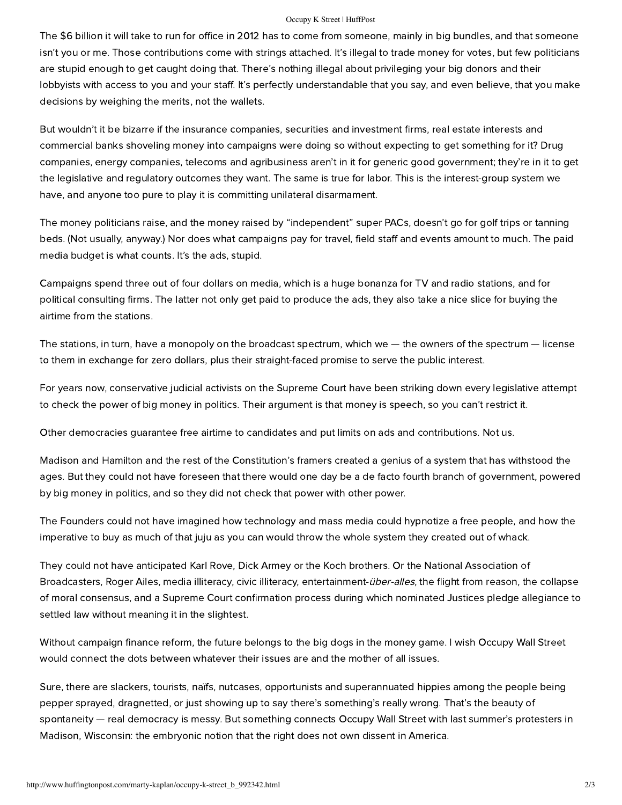## Occupy K Street | HuffPost

The \$6 billion it will take to run for office in 2012 has to come from someone, mainly in big bundles, and that someone isn't you or me. Those contributions come with strings attached. It's illegal to trade money for votes, but few politicians are stupid enough to get caught doing that. There's nothing illegal about privileging your big donors and their lobbyists with access to you and your staff. It's perfectly understandable that you say, and even believe, that you make decisions by weighing the merits, not the wallets.

But wouldn't it be bizarre if the insurance companies, securities and investment firms, real estate interests and commercial banks shoveling money into campaigns were doing so without expecting to get something for it? Drug companies, energy companies, telecoms and agribusiness aren't in it for generic good government; they're in it to get the legislative and regulatory outcomes they want. The same is true for labor. This is the interest-group system we have, and anyone too pure to play it is committing unilateral disarmament.

The money politicians raise, and the money raised by "independent" super PACs, doesn't go for golf trips or tanning beds. (Not usually, anyway.) Nor does what campaigns pay for travel, field staff and events amount to much. The paid media budget is what counts. It's the ads, stupid.

Campaigns spend three out of four dollars on media, which is a huge bonanza for TV and radio stations, and for political consulting firms. The latter not only get paid to produce the ads, they also take a nice slice for buying the airtime from the stations.

The stations, in turn, have a monopoly on the broadcast spectrum, which we — the owners of the spectrum — license to them in exchange for zero dollars, plus their straight-faced promise to serve the public interest.

For years now, conservative judicial activists on the Supreme Court have been striking down every legislative attempt to check the power of big money in politics. Their argument is that money is speech, so you can't restrict it.

Other democracies guarantee free airtime to candidates and put limits on ads and contributions. Not us.

Madison and Hamilton and the rest of the Constitution's framers created a genius of a system that has withstood the ages. But they could not have foreseen that there would one day be a de facto fourth branch of government, powered by big money in politics, and so they did not check that power with other power.

The Founders could not have imagined how technology and mass media could hypnotize a free people, and how the imperative to buy as much of that juju as you can would throw the whole system they created out of whack.

They could not have anticipated Karl Rove, Dick Armey or the Koch brothers. Or the National Association of Broadcasters, Roger Ailes, media illiteracy, civic illiteracy, entertainment-über-alles, the flight from reason, the collapse of moral consensus, and a Supreme Court confirmation process during which nominated Justices pledge allegiance to settled law without meaning it in the slightest.

Without campaign finance reform, the future belongs to the big dogs in the money game. I wish Occupy Wall Street would connect the dots between whatever their issues are and the mother of all issues.

Sure, there are slackers, tourists, naïfs, nutcases, opportunists and superannuated hippies among the people being pepper sprayed, dragnetted, or just showing up to say there's something's really wrong. That's the beauty of spontaneity — real democracy is messy. But something connects Occupy Wall Street with last summer's protesters in Madison, Wisconsin: the embryonic notion that the right does not own dissent in America.